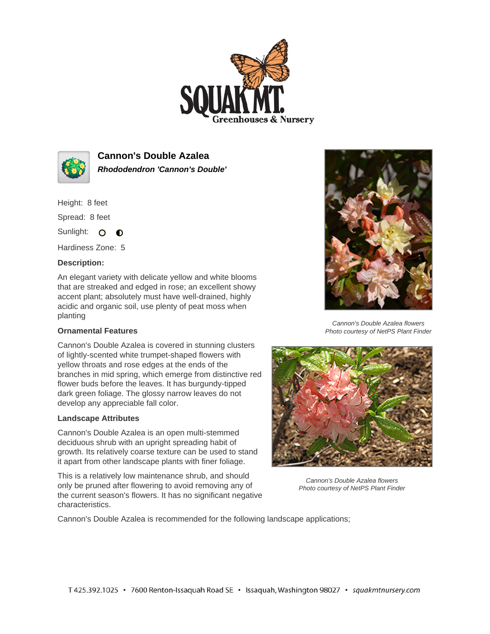



**Cannon's Double Azalea Rhododendron 'Cannon's Double'**

Height: 8 feet

Spread: 8 feet

Sunlight: O **O** 

Hardiness Zone: 5

## **Description:**

An elegant variety with delicate yellow and white blooms that are streaked and edged in rose; an excellent showy accent plant; absolutely must have well-drained, highly acidic and organic soil, use plenty of peat moss when planting

## **Ornamental Features**

Cannon's Double Azalea is covered in stunning clusters of lightly-scented white trumpet-shaped flowers with yellow throats and rose edges at the ends of the branches in mid spring, which emerge from distinctive red flower buds before the leaves. It has burgundy-tipped dark green foliage. The glossy narrow leaves do not develop any appreciable fall color.

## **Landscape Attributes**

Cannon's Double Azalea is an open multi-stemmed deciduous shrub with an upright spreading habit of growth. Its relatively coarse texture can be used to stand it apart from other landscape plants with finer foliage.

This is a relatively low maintenance shrub, and should only be pruned after flowering to avoid removing any of the current season's flowers. It has no significant negative characteristics.



Cannon's Double Azalea flowers Photo courtesy of NetPS Plant Finder



Cannon's Double Azalea flowers Photo courtesy of NetPS Plant Finder

Cannon's Double Azalea is recommended for the following landscape applications;